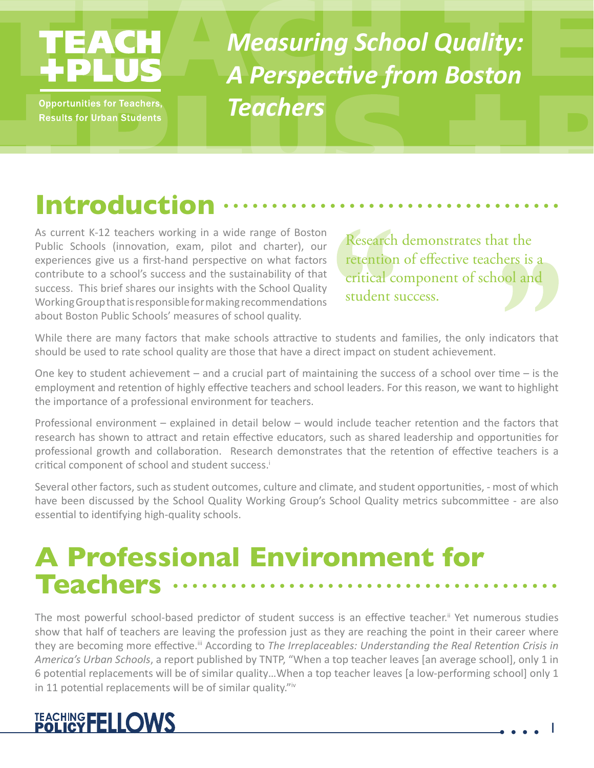# TEAC

**Opportunities for Teachers, Results for Urban Students** 

*Measuring School Quality: A Perspective from Boston Teachers*

# **Introduction**

As current K-12 teachers working in a wide range of Boston Public Schools (innovation, exam, pilot and charter), our experiences give us a first-hand perspective on what factors contribute to a school's success and the sustainability of that success. This brief shares our insights with the School Quality Working Group that is responsible for making recommendations about Boston Public Schools' measures of school quality.

Research demonstrates that the retention of effective teachers is a critical component of school and student success.

While there are many factors that make schools attractive to students and families, the only indicators that should be used to rate school quality are those that have a direct impact on student achievement.

One key to student achievement – and a crucial part of maintaining the success of a school over time – is the employment and retention of highly effective teachers and school leaders. For this reason, we want to highlight the importance of a professional environment for teachers.

Professional environment – explained in detail below – would include teacher retention and the factors that research has shown to attract and retain effective educators, such as shared leadership and opportunities for professional growth and collaboration. Research demonstrates that the retention of effective teachers is a critical component of school and student success.<sup>1</sup>

Several other factors, such as student outcomes, culture and climate, and student opportunities, - most of which have been discussed by the School Quality Working Group's School Quality metrics subcommittee - are also essential to identifying high-quality schools.

#### **A Professional Environment for Teachers**

The most powerful school-based predictor of student success is an effective teacher.<sup>ii</sup> Yet numerous studies show that half of teachers are leaving the profession just as they are reaching the point in their career where they are becoming more effective.<sup>ii</sup> According to *The Irreplaceables: Understanding the Real Retention Crisis in America's Urban Schools*, a report published by TNTP, "When a top teacher leaves [an average school], only 1 in 6 potential replacements will be of similar quality…When a top teacher leaves [a low-performing school] only 1 in 11 potential replacements will be of similar quality."iv

#### TEACHING FELLOWS

1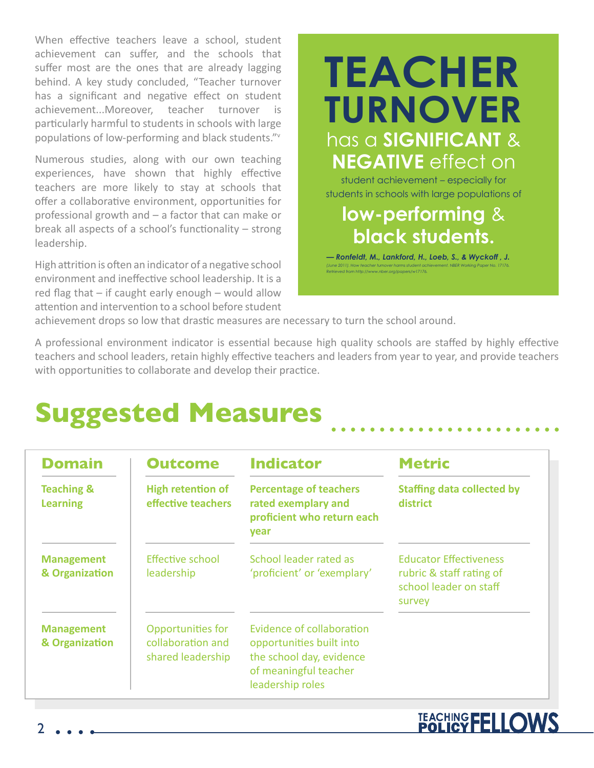When effective teachers leave a school, student achievement can suffer, and the schools that suffer most are the ones that are already lagging behind. A key study concluded, "Teacher turnover has a significant and negative effect on student achievement...Moreover, teacher turnover is particularly harmful to students in schools with large populations of low-performing and black students."<sup>v</sup>

Numerous studies, along with our own teaching experiences, have shown that highly effective teachers are more likely to stay at schools that offer a collaborative environment, opportunities for professional growth and – a factor that can make or break all aspects of a school's functionality – strong leadership.

High attrition is often an indicator of a negative school environment and ineffective school leadership. It is a red flag that – if caught early enough – would allow attention and intervention to a school before student

#### has a **SIGNIFICANT** & **NEGATIVE** effect on **TEACHER TURNOVER**

student achievement – especially for students in schools with large populations of

#### **low-performing** & **black students.**

*— Ronfeldt, M., Lankford, H., Loeb, S., & Wyckoff , J. (June 2011). How teacher turnover harms student achievement. NBER Working Paper No. 17176. Retrieved from http://www.nber.org/papers/w17176.*

TEACHING FELLOWS

achievement drops so low that drastic measures are necessary to turn the school around.

A professional environment indicator is essential because high quality schools are staffed by highly effective teachers and school leaders, retain highly effective teachers and leaders from year to year, and provide teachers with opportunities to collaborate and develop their practice.

#### **Suggested Measures**

| <b>Domain</b>                            | <b>Outcome</b>                                              | <b>Indicator</b>                                                                                                               | <b>Metric</b>                                                                                 |
|------------------------------------------|-------------------------------------------------------------|--------------------------------------------------------------------------------------------------------------------------------|-----------------------------------------------------------------------------------------------|
| <b>Teaching &amp;</b><br><b>Learning</b> | <b>High retention of</b><br>effective teachers              | <b>Percentage of teachers</b><br>rated exemplary and<br>proficient who return each<br>year                                     | <b>Staffing data collected by</b><br>district                                                 |
| <b>Management</b><br>& Organization      | Effective school<br>leadership                              | School leader rated as<br>'proficient' or 'exemplary'                                                                          | <b>Educator Effectiveness</b><br>rubric & staff rating of<br>school leader on staff<br>survey |
| <b>Management</b><br>& Organization      | Opportunities for<br>collaboration and<br>shared leadership | Evidence of collaboration<br>opportunities built into<br>the school day, evidence<br>of meaningful teacher<br>leadership roles |                                                                                               |

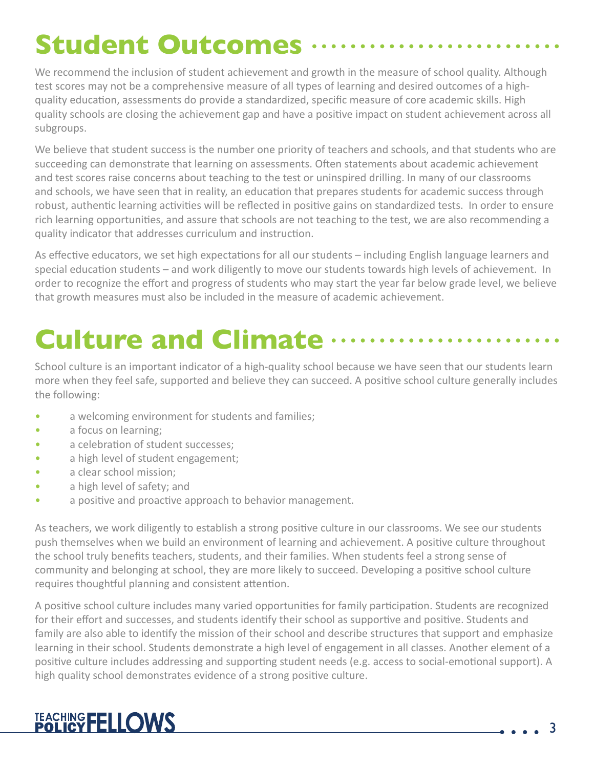# **Student Outcomes**

We recommend the inclusion of student achievement and growth in the measure of school quality. Although test scores may not be a comprehensive measure of all types of learning and desired outcomes of a highquality education, assessments do provide a standardized, specific measure of core academic skills. High quality schools are closing the achievement gap and have a positive impact on student achievement across all subgroups.

We believe that student success is the number one priority of teachers and schools, and that students who are succeeding can demonstrate that learning on assessments. Often statements about academic achievement and test scores raise concerns about teaching to the test or uninspired drilling. In many of our classrooms and schools, we have seen that in reality, an education that prepares students for academic success through robust, authentic learning activities will be reflected in positive gains on standardized tests. In order to ensure rich learning opportunities, and assure that schools are not teaching to the test, we are also recommending a quality indicator that addresses curriculum and instruction.

As effective educators, we set high expectations for all our students – including English language learners and special education students – and work diligently to move our students towards high levels of achievement. In order to recognize the effort and progress of students who may start the year far below grade level, we believe that growth measures must also be included in the measure of academic achievement.

# **Culture and Climate**

School culture is an important indicator of a high-quality school because we have seen that our students learn more when they feel safe, supported and believe they can succeed. A positive school culture generally includes the following:

- a welcoming environment for students and families;
- a focus on learning;
- a celebration of student successes:
- a high level of student engagement;
- a clear school mission;
- a high level of safety; and
- a positive and proactive approach to behavior management.

As teachers, we work diligently to establish a strong positive culture in our classrooms. We see our students push themselves when we build an environment of learning and achievement. A positive culture throughout the school truly benefits teachers, students, and their families. When students feel a strong sense of community and belonging at school, they are more likely to succeed. Developing a positive school culture requires thoughtful planning and consistent attention.

A positive school culture includes many varied opportunities for family participation. Students are recognized for their effort and successes, and students identify their school as supportive and positive. Students and family are also able to identify the mission of their school and describe structures that support and emphasize learning in their school. Students demonstrate a high level of engagement in all classes. Another element of a positive culture includes addressing and supporting student needs (e.g. access to social-emotional support). A high quality school demonstrates evidence of a strong positive culture.

#### TEACHING FELLOWS

3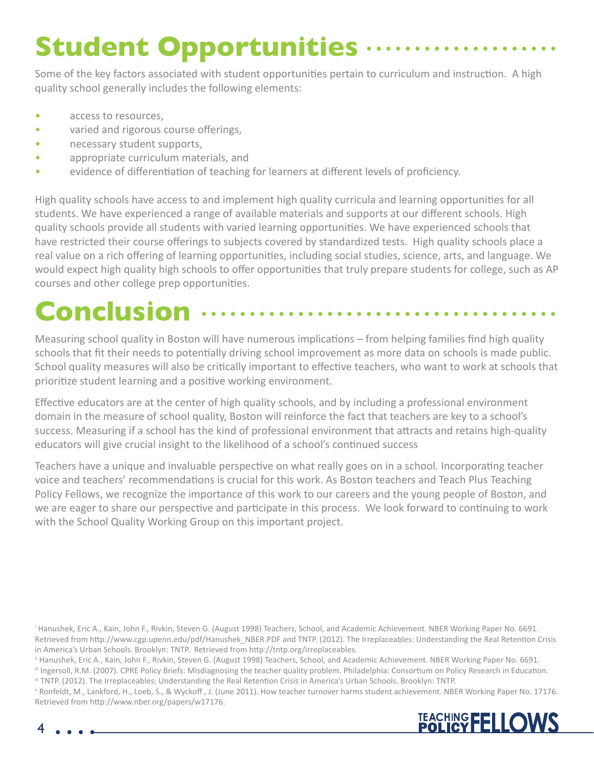# **Student Opportunities**

Some of the key factors associated with student opportunities pertain to curriculum and instruction. A high quality school generally includes the following elements:

- access to resources.
- varied and rigorous course offerings,
- necessary student supports,
- appropriate curriculum materials, and
- evidence of differentiation of teaching for learners at different levels of proficiency.

High quality schools have access to and implement high quality curricula and learning opportunities for all students. We have experienced a range of available materials and supports at our different schools. High quality schools provide all students with varied learning opportunities. We have experienced schools that have restricted their course offerings to subjects covered by standardized tests. High quality schools place a real value on a rich offering of learning opportunities, including social studies, science, arts, and language. We would expect high quality high schools to offer opportunities that truly prepare students for college, such as AP courses and other college prep opportunities.

## **Conclusion**

Measuring school quality in Boston will have numerous implications – from helping families find high quality schools that fit their needs to potentially driving school improvement as more data on schools is made public. School quality measures will also be critically important to effective teachers, who want to work at schools that prioritize student learning and a positive working environment.

Effective educators are at the center of high quality schools, and by including a professional environment domain in the measure of school quality, Boston will reinforce the fact that teachers are key to a school's success. Measuring if a school has the kind of professional environment that attracts and retains high-quality educators will give crucial insight to the likelihood of a school's continued success

Teachers have a unique and invaluable perspective on what really goes on in a school. Incorporating teacher voice and teachers' recommendations is crucial for this work. As Boston teachers and Teach Plus Teaching Policy Fellows, we recognize the importance of this work to our careers and the young people of Boston, and we are eager to share our perspective and participate in this process. We look forward to continuing to work with the School Quality Working Group on this important project.

i Hanushek, Eric A., Kain, John F., Rivkin, Steven G. (August 1998) Teachers, School, and Academic Achievement. NBER Working Paper No. 6691. Retrieved from http://www.cgp.upenn.edu/pdf/Hanushek\_NBER.PDF and TNTP. (2012). The Irreplaceables: Understanding the Real Retention Crisis in America's Urban Schools. Brooklyn: TNTP. Retrieved from http://tntp.org/irreplaceables.

ii Hanushek, Eric A., Kain, John F., Rivkin, Steven G. (August 1998) Teachers, School, and Academic Achievement. NBER Working Paper No. 6691.

iii Ingersoll, R.M. (2007). CPRE Policy Briefs: Misdiagnosing the teacher quality problem. Philadelphia: Consortium on Policy Research in Education. iv TNTP. (2012). The Irreplaceables: Understanding the Real Retention Crisis in America's Urban Schools. Brooklyn: TNTP.

v Ronfeldt, M., Lankford, H., Loeb, S., & Wyckoff , J. (June 2011). How teacher turnover harms student achievement. NBER Working Paper No. 17176. Retrieved from http://www.nber.org/papers/w17176.



4